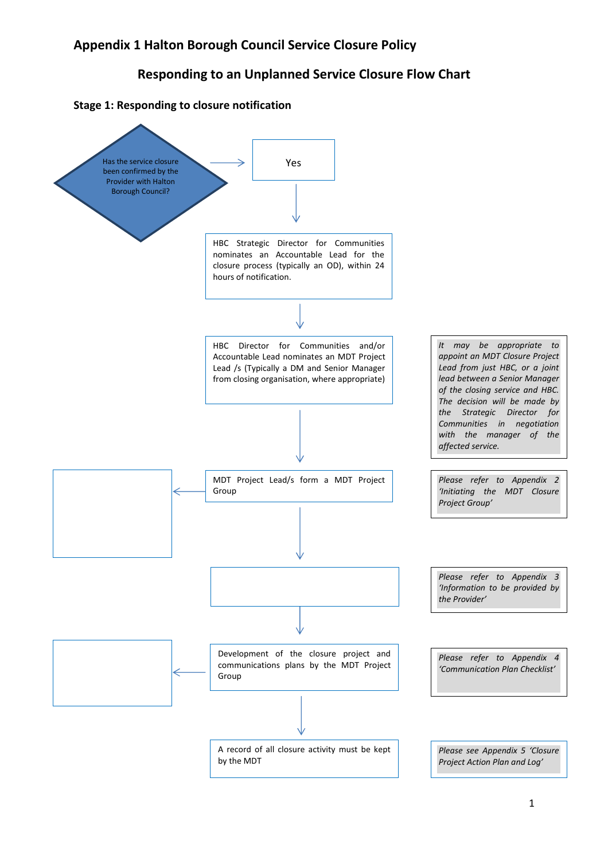## Responding to an Unplanned Service Closure Flow Chart



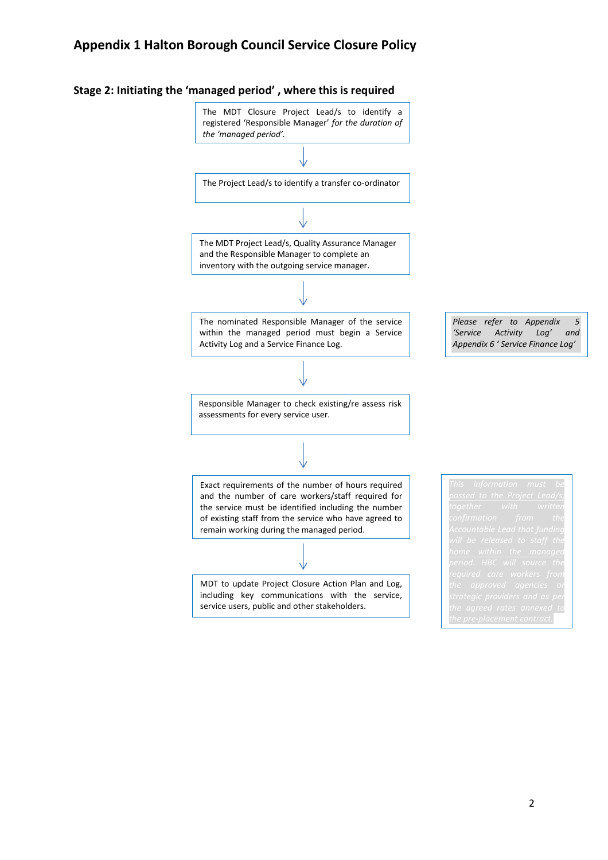## Appendix 1 Halton Borough Council Service Closure Policy



## Stage 2: Initiating the 'managed period' , where this is required